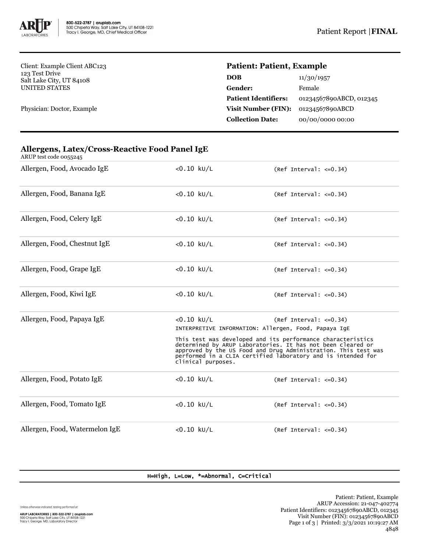

Client: Example Client ABC123 123 Test Drive Salt Lake City, UT 84108 UNITED STATES

Physician: Doctor, Example

## **Patient: Patient, Example**

| <b>DOB</b>                  | 11/30/1957              |
|-----------------------------|-------------------------|
| Gender:                     | Female                  |
| <b>Patient Identifiers:</b> | 01234567890ABCD, 012345 |
| Visit Number (FIN):         | 01234567890ABCD         |
| <b>Collection Date:</b>     | 00/00/0000 00:00        |
|                             |                         |

| ARUP test code 0055245         |                                                                                                                                                                                                                                                                                                                                                                                         |                              |  |  |
|--------------------------------|-----------------------------------------------------------------------------------------------------------------------------------------------------------------------------------------------------------------------------------------------------------------------------------------------------------------------------------------------------------------------------------------|------------------------------|--|--|
| Allergen, Food, Avocado IgE    | $< 0.10$ kU/L                                                                                                                                                                                                                                                                                                                                                                           | $(Ref Interval: < = 0.34)$   |  |  |
| Allergen, Food, Banana IgE     | $< 0.10$ kU/L                                                                                                                                                                                                                                                                                                                                                                           | $(Ref Interval: < =0.34)$    |  |  |
| Allergen, Food, Celery IgE     | $< 0.10$ kU/L                                                                                                                                                                                                                                                                                                                                                                           | $(Ref Interval: < =0.34)$    |  |  |
| Allergen, Food, Chestnut IgE   | $< 0.10$ kU/L                                                                                                                                                                                                                                                                                                                                                                           | $(Ref Interval: <=0.34)$     |  |  |
| Allergen, Food, Grape IgE      | $< 0.10$ kU/L                                                                                                                                                                                                                                                                                                                                                                           | $(Ref Interval: < =0.34)$    |  |  |
| Allergen, Food, Kiwi IgE       | $< 0.10$ kU/L                                                                                                                                                                                                                                                                                                                                                                           | $(Ref Interval: <=0.34)$     |  |  |
| Allergen, Food, Papaya IgE     | $< 0.10$ kU/L<br>$(Ref Interval: <=0.34)$<br>INTERPRETIVE INFORMATION: Allergen, Food, Papaya IgE<br>This test was developed and its performance characteristics<br>determined by ARUP Laboratories. It has not been cleared or<br>approved by the US Food and Drug Administration. This test was<br>performed in a CLIA certified laboratory and is intended for<br>clinical purposes. |                              |  |  |
| Allergen, Food, Potato IgE     | $< 0.10$ kU/L                                                                                                                                                                                                                                                                                                                                                                           | $(Ref Interval: <=0.34)$     |  |  |
| Allergen, Food, Tomato IgE     | $< 0.10$ kU/L                                                                                                                                                                                                                                                                                                                                                                           | $(Ref Interval: < = 0.34)$   |  |  |
| Allergen, Food, Watermelon IgE | $< 0.10$ kU/L                                                                                                                                                                                                                                                                                                                                                                           | (Ref Interval: $\leq 0.34$ ) |  |  |

## **Allergens, Latex/Cross-Reactive Food Panel IgE**

H=High, L=Low, \*=Abnormal, C=Critical

Unless otherwise indicated, testing performed at: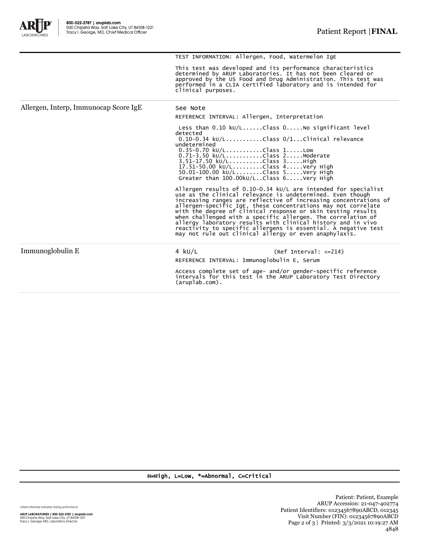A

|                                       | This test was developed and its performance characteristics<br>determined by ARUP Laboratories. It has not been cleared or<br>approved by the US Food and Drug Administration. This test was<br>performed in a CLIA certified laboratory and is intended for<br>clinical purposes.                                                                                                                                                                                                                                                                                                              |  |  |
|---------------------------------------|-------------------------------------------------------------------------------------------------------------------------------------------------------------------------------------------------------------------------------------------------------------------------------------------------------------------------------------------------------------------------------------------------------------------------------------------------------------------------------------------------------------------------------------------------------------------------------------------------|--|--|
| Allergen, Interp, Immunocap Score IgE | See Note                                                                                                                                                                                                                                                                                                                                                                                                                                                                                                                                                                                        |  |  |
|                                       | REFERENCE INTERVAL: Allergen, Interpretation                                                                                                                                                                                                                                                                                                                                                                                                                                                                                                                                                    |  |  |
|                                       | Less than $0.10 \text{ kU/L}$ Class $0.1000$ significant level<br>detected<br>$0.10-0.34$ kU/LClass $0/1$ Clinical relevance<br>undetermined<br>$0.35 - 0.70$ kU/LClass 1Low<br>0.71-3.50 kU/LClass 2Moderate<br>$3.51 - 17.50 \text{ kU/L}$ Class $3.$ High<br>17.51-50.00 kU/LClass 4Very High<br>50.01-100.00 kU/LClass 5Very High<br>Greater than 100.00kU/LClass 6Very High                                                                                                                                                                                                                |  |  |
|                                       | Allergen results of 0.10-0.34 $kU/L$ are intended for specialist<br>use as the clinical relevance is undetermined. Even though<br>increasing ranges are reflective of increasing concentrations of<br>allergen-specific IgE, these concentrations may not correlate<br>with the degree of clinical response or skin testing results<br>when challenged with a specific allergen. The correlation of<br>allergy laboratory results with clinical history and in vivo<br>reactivity to specific allergens is essential. A negative test<br>may not rule out clinical allergy or even anaphylaxis. |  |  |
| Immunoglobulin E                      | 4 $kU/L$<br>$(Ref Interval: <=214)$                                                                                                                                                                                                                                                                                                                                                                                                                                                                                                                                                             |  |  |
|                                       | REFERENCE INTERVAL: Immunoglobulin E, Serum                                                                                                                                                                                                                                                                                                                                                                                                                                                                                                                                                     |  |  |
|                                       | Access complete set of age- and/or gender-specific reference<br>intervals for this test in the ARUP Laboratory Test Directory<br>$(\text{aruplab.com})$ .                                                                                                                                                                                                                                                                                                                                                                                                                                       |  |  |
|                                       |                                                                                                                                                                                                                                                                                                                                                                                                                                                                                                                                                                                                 |  |  |

TEST INFORMATION: Allergen, Food, Watermelon IgE

H=High, L=Low, \*=Abnormal, C=Critical

Unless otherwise indicated, testing performed at: